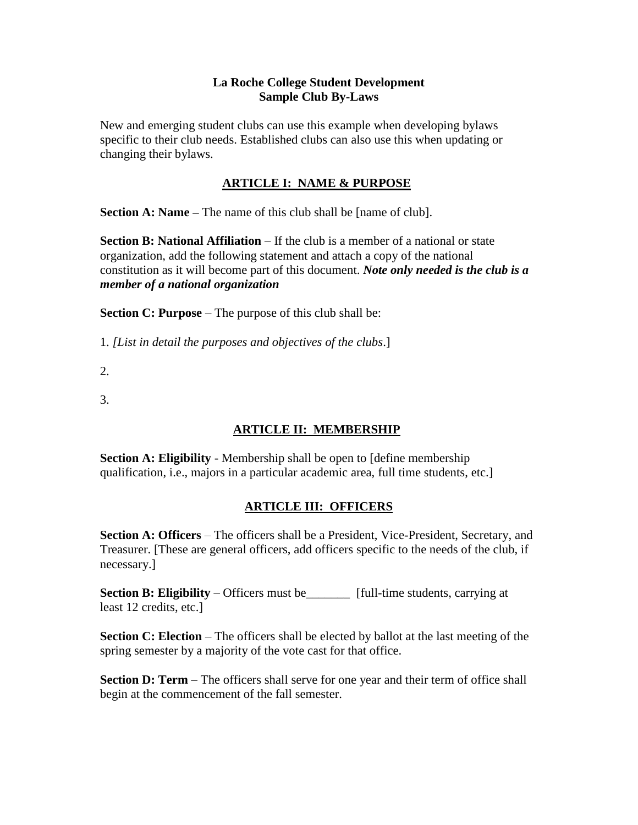#### **La Roche College Student Development Sample Club By-Laws**

New and emerging student clubs can use this example when developing bylaws specific to their club needs. Established clubs can also use this when updating or changing their bylaws.

## **ARTICLE I: NAME & PURPOSE**

**Section A: Name –** The name of this club shall be [name of club].

**Section B: National Affiliation** – If the club is a member of a national or state organization, add the following statement and attach a copy of the national constitution as it will become part of this document. *Note only needed is the club is a member of a national organization*

**Section C: Purpose** – The purpose of this club shall be:

1. *[List in detail the purposes and objectives of the clubs*.]

2.

3.

### **ARTICLE II: MEMBERSHIP**

**Section A: Eligibility** - Membership shall be open to [define membership] qualification, i.e., majors in a particular academic area, full time students, etc.]

## **ARTICLE III: OFFICERS**

**Section A: Officers** – The officers shall be a President, Vice-President, Secretary, and Treasurer. [These are general officers, add officers specific to the needs of the club, if necessary.]

**Section B: Eligibility** – Officers must be\_\_\_\_\_\_\_ [full-time students, carrying at least 12 credits, etc.]

**Section C: Election** – The officers shall be elected by ballot at the last meeting of the spring semester by a majority of the vote cast for that office.

**Section D: Term** – The officers shall serve for one year and their term of office shall begin at the commencement of the fall semester.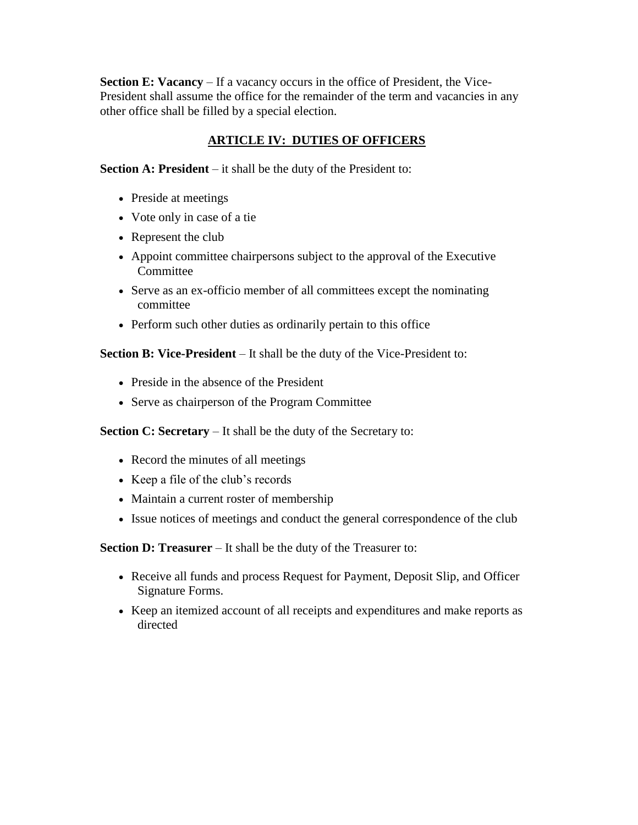**Section E: Vacancy** – If a vacancy occurs in the office of President, the Vice-President shall assume the office for the remainder of the term and vacancies in any other office shall be filled by a special election.

# **ARTICLE IV: DUTIES OF OFFICERS**

**Section A: President** – it shall be the duty of the President to:

- Preside at meetings
- Vote only in case of a tie
- Represent the club
- Appoint committee chairpersons subject to the approval of the Executive Committee
- Serve as an ex-officio member of all committees except the nominating committee
- Perform such other duties as ordinarily pertain to this office

**Section B: Vice-President** – It shall be the duty of the Vice-President to:

- Preside in the absence of the President
- Serve as chairperson of the Program Committee

**Section C: Secretary** – It shall be the duty of the Secretary to:

- Record the minutes of all meetings
- Keep a file of the club's records
- Maintain a current roster of membership
- Issue notices of meetings and conduct the general correspondence of the club

**Section D: Treasurer** – It shall be the duty of the Treasurer to:

- Receive all funds and process Request for Payment, Deposit Slip, and Officer Signature Forms.
- Keep an itemized account of all receipts and expenditures and make reports as directed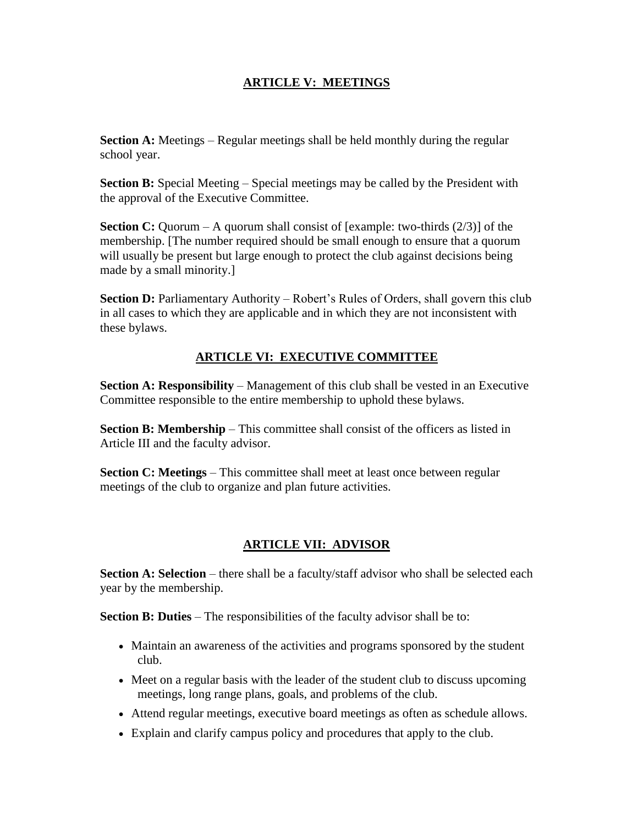### **ARTICLE V: MEETINGS**

**Section A:** Meetings – Regular meetings shall be held monthly during the regular school year.

**Section B:** Special Meeting – Special meetings may be called by the President with the approval of the Executive Committee.

**Section C:** Quorum – A quorum shall consist of [example: two-thirds (2/3)] of the membership. [The number required should be small enough to ensure that a quorum will usually be present but large enough to protect the club against decisions being made by a small minority.]

**Section D:** Parliamentary Authority – Robert's Rules of Orders, shall govern this club in all cases to which they are applicable and in which they are not inconsistent with these bylaws.

### **ARTICLE VI: EXECUTIVE COMMITTEE**

**Section A: Responsibility** – Management of this club shall be vested in an Executive Committee responsible to the entire membership to uphold these bylaws.

**Section B: Membership** – This committee shall consist of the officers as listed in Article III and the faculty advisor.

**Section C: Meetings** – This committee shall meet at least once between regular meetings of the club to organize and plan future activities.

## **ARTICLE VII: ADVISOR**

**Section A: Selection** – there shall be a faculty/staff advisor who shall be selected each year by the membership.

**Section B: Duties** – The responsibilities of the faculty advisor shall be to:

- Maintain an awareness of the activities and programs sponsored by the student club.
- Meet on a regular basis with the leader of the student club to discuss upcoming meetings, long range plans, goals, and problems of the club.
- Attend regular meetings, executive board meetings as often as schedule allows.
- Explain and clarify campus policy and procedures that apply to the club.